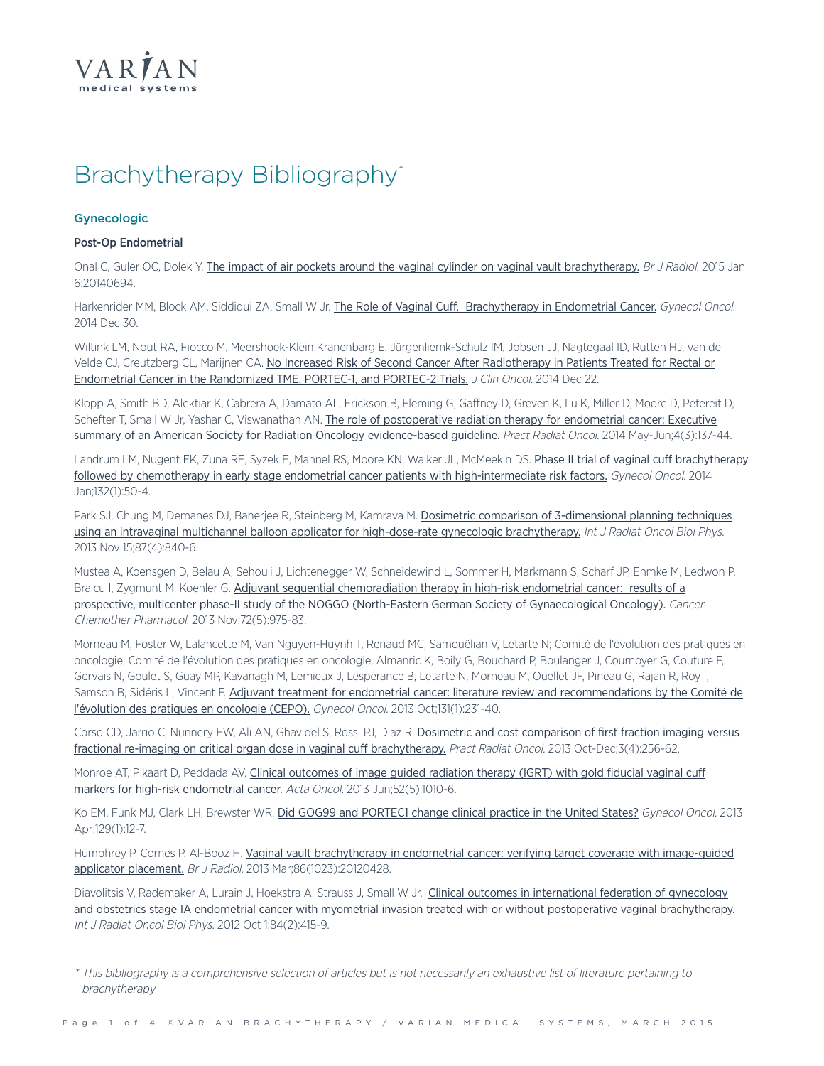

# Brachytherapy Bibliography\*

## **Gynecologic**

## Post-Op Endometrial

Onal C, Guler OC, Dolek Y. The impact of air pockets around the vaginal cylinder on vaginal vault [brachytherapy.](http://www.ncbi.nlm.nih.gov/pubmed/25562767) Br J Radiol. 2015 Jan 6:20140694.

Harkenrider MM, Block AM, Siddiqui ZA, Small W Jr. The Role of Vaginal Cuff. [Brachytherapy](http://www.ncbi.nlm.nih.gov/pubmed/25555710) in Endometrial Cancer. Gynecol Oncol. 2014 Dec 30.

Wiltink LM, Nout RA, Fiocco M, Meershoek-Klein Kranenbarg E, Jürgenliemk-Schulz IM, Jobsen JJ, Nagtegaal ID, Rutten HJ, van de Velde CJ, Creutzberg CL, Marijnen CA. No Increased Risk of Second Cancer After [Radiotherapy](http://jco.ascopubs.org/content/early/2014/12/22/JCO.2014.58.6693.abstract) in Patients Treated for Rectal or Endometrial Cancer in the [Randomized](http://jco.ascopubs.org/content/early/2014/12/22/JCO.2014.58.6693.abstract) TME, PORTEC-1, and PORTEC-2 Trials. J Clin Oncol. 2014 Dec 22.

Klopp A, Smith BD, Alektiar K, Cabrera A, Damato AL, Erickson B, Fleming G, Gaffney D, Greven K, Lu K, Miller D, Moore D, Petereit D, Schefter T, Small W Jr, Yashar C, Viswanathan AN. The role of [postoperative](http://www.practicalradonc.org/article/S1879-8500(14)00005-8/abstract) radiation therapy for endometrial cancer: Executive summary of an American Society for Radiation Oncology [evidence-based](http://www.practicalradonc.org/article/S1879-8500(14)00005-8/abstract) guideline. Pract Radiat Oncol. 2014 May-Jun;4(3):137-44.

Landrum LM, Nugent EK, Zuna RE, Syzek E, Mannel RS, Moore KN, Walker JL, McMeekin DS. Phase II trial of vaginal cuff [brachytherapy](http://www.ncbi.nlm.nih.gov/pubmed/24219982) followed by chemotherapy in early stage endometrial cancer patients with [high-intermediate](http://www.ncbi.nlm.nih.gov/pubmed/24219982) risk factors. Gynecol Oncol. 2014 Jan;132(1):50-4.

Park SJ, Chung M, Demanes DJ, Banerjee R, Steinberg M, Kamrava M. Dosimetric comparison of [3-dimensional](http://www.ncbi.nlm.nih.gov/pubmed/24138921) planning techniques using an intravaginal multichannel balloon applicator for high-dose-rate gynecologic [brachytherapy.](http://www.ncbi.nlm.nih.gov/pubmed/24138921) Int J Radiat Oncol Biol Phys. 2013 Nov 15;87(4):840-6.

Mustea A, Koensgen D, Belau A, Sehouli J, Lichtenegger W, Schneidewind L, Sommer H, Markmann S, Scharf JP, Ehmke M, Ledwon P, Braicu I, Zygmunt M, Koehler G. Adjuvant sequential [chemoradiation](http://www.ncbi.nlm.nih.gov/pubmed/23995698) therapy in high-risk endometrial cancer: results of a prospective, multicenter phase-II study of the NOGGO (North-Eastern German Society of [Gynaecological](http://www.ncbi.nlm.nih.gov/pubmed/23995698) Oncology). Cancer Chemother Pharmacol. 2013 Nov;72(5):975-83.

Morneau M, Foster W, Lalancette M, Van Nguyen-Huynh T, Renaud MC, Samouëlian V, Letarte N; Comité de l'évolution des pratiques en oncologie; Comité de l'évolution des pratiques en oncologie, Almanric K, Boily G, Bouchard P, Boulanger J, Cournoyer G, Couture F, Gervais N, Goulet S, Guay MP, Kavanagh M, Lemieux J, Lespérance B, Letarte N, Morneau M, Ouellet JF, Pineau G, Rajan R, Roy I, Samson B, Sidéris L, Vincent F. Adjuvant treatment for endometrial cancer: literature review and [recommendations](http://www.ncbi.nlm.nih.gov/pubmed/23872191) by the Comité de [l'évolution](http://www.ncbi.nlm.nih.gov/pubmed/23872191) des pratiques en oncologie (CEPO). Gynecol Oncol. 2013 Oct;131(1):231-40.

Corso CD, Jarrio C, Nunnery EW, Ali AN, Ghavidel S, Rossi PJ, Diaz R. Dosimetric and cost [comparison](http://www.ncbi.nlm.nih.gov/pubmed/24674395) of first fraction imaging versus fractional re-imaging on critical organ dose in vaginal cuff [brachytherapy.](http://www.ncbi.nlm.nih.gov/pubmed/24674395) Pract Radiat Oncol. 2013 Oct-Dec;3(4):256-62.

Monroe AT, Pikaart D, Peddada AV. Clinical [outcomes](http://www.ncbi.nlm.nih.gov/pubmed/22998475) of image guided radiation therapy (IGRT) with gold fiducial vaginal cuff markers for high-risk [endometrial](http://www.ncbi.nlm.nih.gov/pubmed/22998475) cancer. Acta Oncol. 2013 Jun;52(5):1010-6.

Ko EM, Funk MJ, Clark LH, Brewster WR. Did GOG99 and [PORTEC1](http://www.ncbi.nlm.nih.gov/pubmed/23376807) change clinical practice in the United States? Gynecol Oncol. 2013 Apr;129(1):12-7.

Humphrey P, Cornes P, Al-Booz H. Vaginal vault [brachytherapy](http://www.ncbi.nlm.nih.gov/pubmed/23407428) in endometrial cancer: verifying target coverage with image-guided applicator [placement.](http://www.ncbi.nlm.nih.gov/pubmed/23407428) Br J Radiol. 2013 Mar;86(1023):20120428.

Diavolitsis V, Rademaker A, Lurain J, Hoekstra A, Strauss J, Small W Jr. Clinical outcomes in [international](http://www.ncbi.nlm.nih.gov/pubmed/22365625) federation of gynecology and obstetrics stage IA endometrial cancer with myometrial invasion treated with or without postoperative vaginal [brachytherapy.](http://www.ncbi.nlm.nih.gov/pubmed/22365625) Int J Radiat Oncol Biol Phys. 2012 Oct 1;84(2):415-9.

\* This bibliography is <sup>a</sup> comprehensive selection of articles but is not necessarily an exhaustive list of literature pertaining to brachytherapy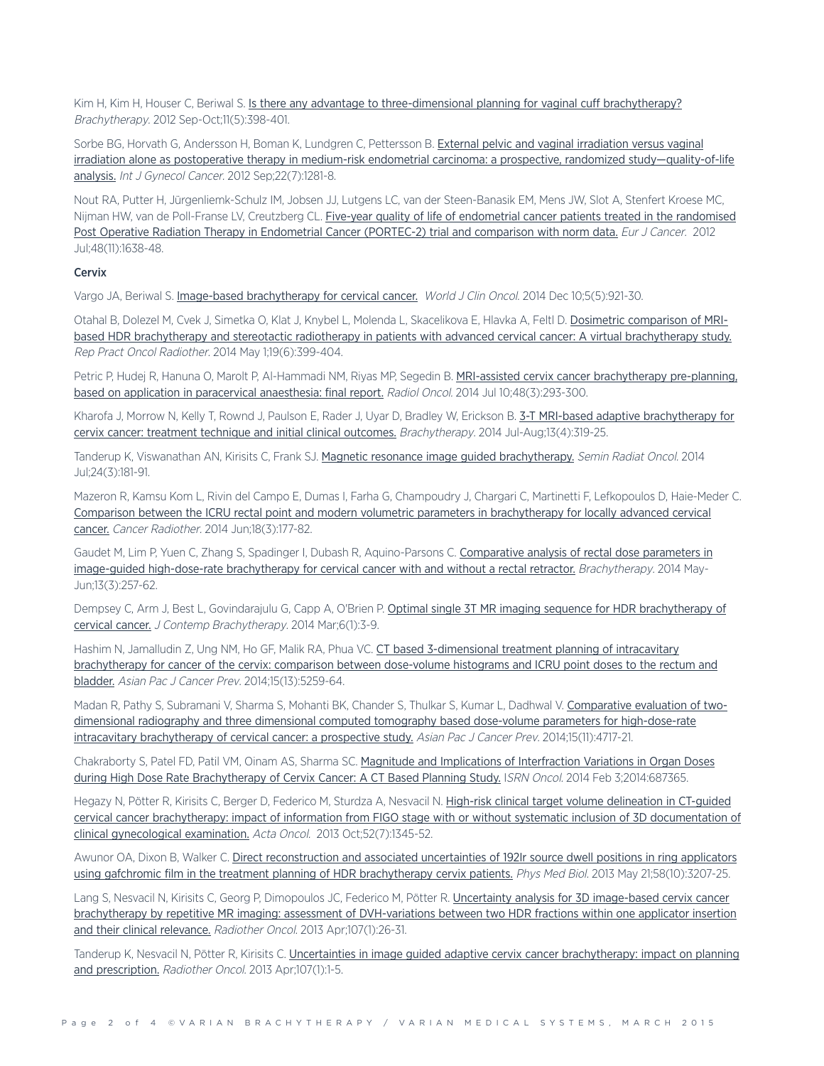Kim H, Kim H, Houser C, Beriwal S. Is there any advantage to [three-dimensional](http://www.ncbi.nlm.nih.gov/pubmed/22301073) planning for vaginal cuff brachytherapy? Brachytherapy. 2012 Sep-Oct;11(5):398-401.

Sorbe BG, Horvath G, Andersson H, Boman K, Lundgren C, Pettersson B. External pelvic and vaginal [irradiation](http://www.ncbi.nlm.nih.gov/pubmed/22864336) versus vaginal irradiation alone as postoperative therapy in medium-risk endometrial carcinoma: a prospective, randomized [study—quality-of-life](http://www.ncbi.nlm.nih.gov/pubmed/22864336) [analysis.](http://www.ncbi.nlm.nih.gov/pubmed/22864336) Int J Gynecol Cancer. 2012 Sep;22(7):1281-8.

Nout RA, Putter H, Jürgenliemk-Schulz IM, Jobsen JJ, Lutgens LC, van der Steen-Banasik EM, Mens JW, Slot A, Stenfert Kroese MC, Nijman HW, van de Poll-Franse LV, Creutzberg CL. Five-year quality of life of [endometrial](http://www.ncbi.nlm.nih.gov/pubmed/22176868) cancer patients treated in the randomised Post Operative Radiation Therapy in Endometrial Cancer [\(PORTEC-2\)](http://www.ncbi.nlm.nih.gov/pubmed/22176868) trial and comparison with norm data. Eur J Cancer. 2012 Jul;48(11):1638-48.

## **Cervix**

Vargo JA, Beriwal S. Image-based [brachytherapy](http://www.ncbi.nlm.nih.gov/pubmed/25493230) for cervical cancer. World J Clin Oncol. 2014 Dec 10;5(5):921-30.

Otahal B, Dolezel M, Cvek J, Simetka O, Klat J, Knybel L, Molenda L, Skacelikova E, Hlavka A, Feltl D. Dosimetric [comparison](http://www.oncology-and-radiotherapy.com/article/S1507-1367(14)00058-3/abstract) of MRIbased HDR brachytherapy and stereotactic radiotherapy in patients with advanced cervical cancer: A virtual [brachytherapy](http://www.oncology-and-radiotherapy.com/article/S1507-1367(14)00058-3/abstract) study. Rep Pract Oncol Radiother. 2014 May 1;19(6):399-404.

Petric P, Hudej R, Hanuna O, Marolt P, Al-Hammadi NM, Riyas MP, Segedin B. MRI-assisted cervix cancer [brachytherapy](http://www.ncbi.nlm.nih.gov/pubmed/25177244) pre-planning, based on application in paracervical [anaesthesia:](http://www.ncbi.nlm.nih.gov/pubmed/25177244) final report. Radiol Oncol. 2014 Jul 10;48(3):293-300.

Kharofa J, Morrow N, Kelly T, Rownd J, Paulson E, Rader J, Uyar D, Bradley W, Erickson B. 3-T MRI-based adaptive [brachytherapy](http://www.brachyjournal.com/article/S1538-4721(14)00504-2/abstract) for cervix cancer: treatment technique and initial clinical [outcomes.](http://www.brachyjournal.com/article/S1538-4721(14)00504-2/abstract) Brachytherapy. 2014 Jul-Aug;13(4):319-25.

Tanderup K, Viswanathan AN, Kirisits C, Frank SJ. Magnetic resonance image guided [brachytherapy.](http://www.ncbi.nlm.nih.gov/pubmed/24931089) Semin Radiat Oncol. 2014 Jul;24(3):181-91.

Mazeron R, Kamsu Kom L, Rivin del Campo E, Dumas I, Farha G, Champoudry J, Chargari C, Martinetti F, Lefkopoulos D, Haie-Meder C. Comparison between the ICRU rectal point and modern volumetric parameters in [brachytherapy](http://www.ncbi.nlm.nih.gov/pubmed/24751222) for locally advanced cervical [cancer.](http://www.ncbi.nlm.nih.gov/pubmed/24751222) Cancer Radiother. 2014 Jun;18(3):177-82.

Gaudet M, Lim P, Yuen C, Zhang S, Spadinger I, Dubash R, Aquino-Parsons C. [Comparative](http://www.ncbi.nlm.nih.gov/pubmed/24480263) analysis of rectal dose parameters in image-guided [high-dose-rate](http://www.ncbi.nlm.nih.gov/pubmed/24480263) brachytherapy for cervical cancer with and without a rectal retractor. Brachytherapy. 2014 May-Jun;13(3):257-62.

Dempsey C, Arm J, Best L, Govindarajulu G, Capp A, O'Brien P. Optimal single 3T MR imaging sequence for HDR [brachytherapy](http://www.ncbi.nlm.nih.gov/pmc/articles/PMC4003427/) of [cervical](http://www.ncbi.nlm.nih.gov/pmc/articles/PMC4003427/) cancer. J Contemp Brachytherapy. 2014 Mar;6(1):3-9.

Hashim N, Jamalludin Z, Ung NM, Ho GF, Malik RA, Phua VC. CT based [3-dimensional](http://www.ncbi.nlm.nih.gov/pubmed/25040985) treatment planning of intracavitary [brachytherapy](http://www.ncbi.nlm.nih.gov/pubmed/25040985) for cancer of the cervix: comparison between dose-volume histograms and ICRU point doses to the rectum and [bladder.](http://www.ncbi.nlm.nih.gov/pubmed/25040985) Asian Pac J Cancer Prev. 2014;15(13):5259-64.

Madan R, Pathy S, Subramani V, Sharma S, Mohanti BK, Chander S, Thulkar S, Kumar L, Dadhwal V. [Comparative](http://www.ncbi.nlm.nih.gov/pubmed/24969909) evaluation of twodimensional radiography and three dimensional computed tomography based dose-volume parameters for [high-dose-rate](http://www.ncbi.nlm.nih.gov/pubmed/24969909) intracavitary [brachytherapy](http://www.ncbi.nlm.nih.gov/pubmed/24969909) of cervical cancer: a prospective study. Asian Pac J Cancer Prev. 2014;15(11):4717-21.

Chakraborty S, Patel FD, Patil VM, Oinam AS, Sharma SC. Magnitude and Implications of [Interfraction](http://www.ncbi.nlm.nih.gov/pubmed/24693451) Variations in Organ Doses during High Dose Rate [Brachytherapy](http://www.ncbi.nlm.nih.gov/pubmed/24693451) of Cervix Cancer: A CT Based Planning Study. ISRN Oncol. 2014 Feb 3;2014:687365.

Hegazy N, Pötter R, Kirisits C, Berger D, Federico M, Sturdza A, Nesvacil N. High-risk clinical target volume [delineation](http://www.ncbi.nlm.nih.gov/pubmed/23905674) in CT-guided cervical cancer brachytherapy: impact of information from FIGO stage with or without systematic inclusion of 3D [documentation](http://www.ncbi.nlm.nih.gov/pubmed/23905674) of clinical [gynecological](http://www.ncbi.nlm.nih.gov/pubmed/23905674) examination. Acta Oncol. 2013 Oct;52(7):1345-52.

Awunor OA, Dixon B, Walker C. Direct [reconstruction](http://www.ncbi.nlm.nih.gov/pubmed/23603854) and associated uncertainties of 192Ir source dwell positions in ring applicators using gafchromic film in the treatment planning of HDR [brachytherapy](http://www.ncbi.nlm.nih.gov/pubmed/23603854) cervix patients. Phys Med Biol. 2013 May 21;58(10):3207-25.

Lang S, Nesvacil N, Kirisits C, Georg P, Dimopoulos JC, Federico M, Pötter R. Uncertainty analysis for 3D [image-based](http://www.ncbi.nlm.nih.gov/pubmed/23541645) cervix cancer brachytherapy by repetitive MR imaging: assessment of [DVH-variations](http://www.ncbi.nlm.nih.gov/pubmed/23541645) between two HDR fractions within one applicator insertion and their clinical [relevance.](http://www.ncbi.nlm.nih.gov/pubmed/23541645) Radiother Oncol. 2013 Apr;107(1):26-31.

Tanderup K, Nesvacil N, Pötter R, Kirisits C. Uncertainties in image guided adaptive cervix cancer [brachytherapy:](http://www.ncbi.nlm.nih.gov/pubmed/23541642) impact on planning and [prescription.](http://www.ncbi.nlm.nih.gov/pubmed/23541642) Radiother Oncol. 2013 Apr;107(1):1-5.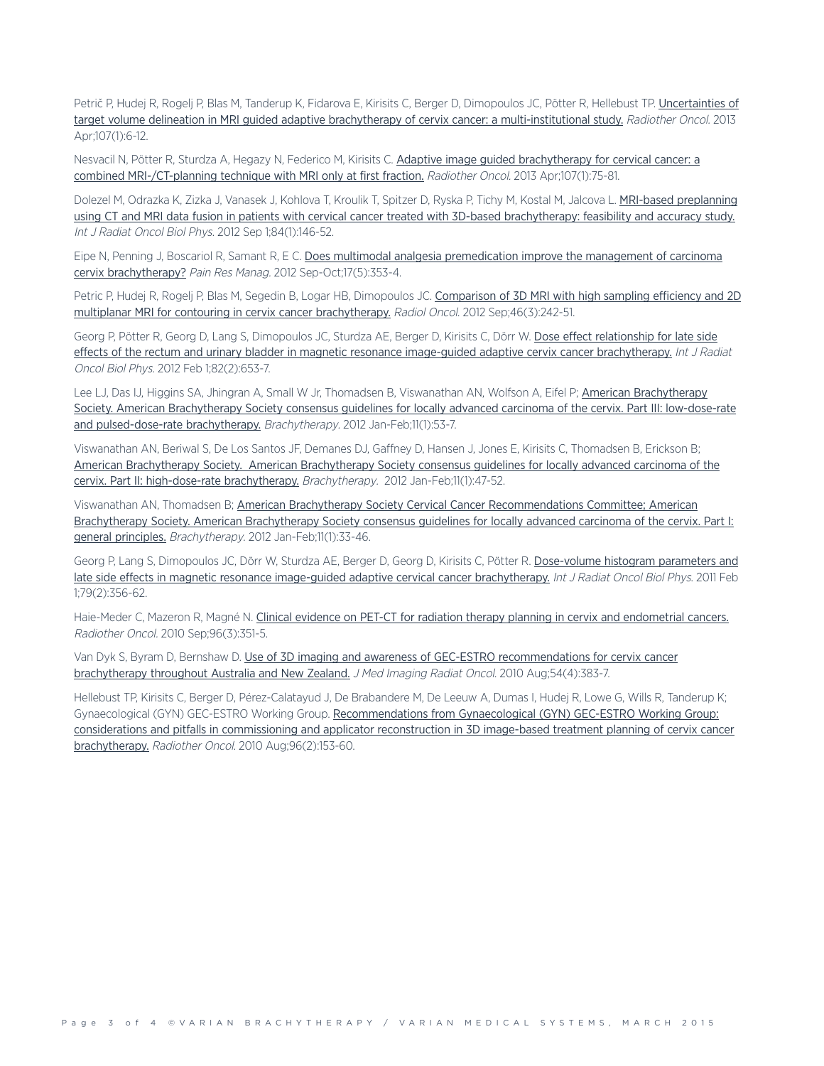Petrič P, Hudej R, Rogelj P, Blas M, Tanderup K, Fidarova E, Kirisits C, Berger D, Dimopoulos JC, Pötter R, Hellebust TP. [Uncertainties](http://www.ncbi.nlm.nih.gov/pubmed/23453539) of target volume delineation in MRI guided adaptive brachytherapy of cervix cancer: a [multi-institutional](http://www.ncbi.nlm.nih.gov/pubmed/23453539) study. Radiother Oncol. 2013 Apr;107(1):6-12.

Nesvacil N, Pötter R, Sturdza A, Hegazy N, Federico M, Kirisits C. Adaptive image guided [brachytherapy](http://www.ncbi.nlm.nih.gov/pubmed/23068712) for cervical cancer: a combined [MRI-/CT-planning](http://www.ncbi.nlm.nih.gov/pubmed/23068712) technique with MRI only at first fraction. Radiother Oncol. 2013 Apr;107(1):75-81.

Dolezel M, Odrazka K, Zizka J, Vanasek J, Kohlova T, Kroulik T, Spitzer D, Ryska P, Tichy M, Kostal M, Jalcova L. MRI-based [preplanning](http://www.ncbi.nlm.nih.gov/pubmed/22300570) using CT and MRI data fusion in patients with cervical cancer treated with 3D-based [brachytherapy:](http://www.ncbi.nlm.nih.gov/pubmed/22300570) feasibility and accuracy study. Int J Radiat Oncol Biol Phys. 2012 Sep 1;84(1):146-52.

Eipe N, Penning J, Boscariol R, Samant R, E C. Does multimodal analgesia [premedication](http://www.ncbi.nlm.nih.gov/pubmed/23061087) improve the management of carcinoma cervix [brachytherapy?](http://www.ncbi.nlm.nih.gov/pubmed/23061087) Pain Res Manag. 2012 Sep-Oct;17(5):353-4.

Petric P, Hudej R, Rogelj P, Blas M, Segedin B, Logar HB, Dimopoulos JC. [Comparison](http://www.ncbi.nlm.nih.gov/pubmed/23077463) of 3D MRI with high sampling efficiency and 2D multiplanar MRI for contouring in cervix cancer [brachytherapy.](http://www.ncbi.nlm.nih.gov/pubmed/23077463) Radiol Oncol. 2012 Sep;46(3):242-51.

Georg P, Pötter R, Georg D, Lang S, Dimopoulos JC, Sturdza AE, Berger D, Kirisits C, Dörr W. Dose effect [relationship](http://www.ncbi.nlm.nih.gov/pubmed/21345618) for late side effects of the rectum and urinary bladder in magnetic resonance image-guided adaptive cervix cancer [brachytherapy.](http://www.ncbi.nlm.nih.gov/pubmed/21345618) Int J Radiat Oncol Biol Phys. 2012 Feb 1;82(2):653-7.

Lee LJ, Das IJ, Higgins SA, Jhingran A, Small W Jr, Thomadsen B, Viswanathan AN, Wolfson A, Eifel P; American [Brachytherapy](http://www.ncbi.nlm.nih.gov/pubmed/22265438) Society. American [Brachytherapy](http://www.ncbi.nlm.nih.gov/pubmed/22265438) Society consensus guidelines for locally advanced carcinoma of the cervix. Part III: low-dose-rate and [pulsed-dose-rate](http://www.ncbi.nlm.nih.gov/pubmed/22265438) brachytherapy. Brachytherapy. 2012 Jan-Feb;11(1):53-7.

Viswanathan AN, Beriwal S, De Los Santos JF, Demanes DJ, Gaffney D, Hansen J, Jones E, Kirisits C, Thomadsen B, Erickson B; American [Brachytherapy](http://www.ncbi.nlm.nih.gov/pubmed/22265437) Society. American Brachytherapy Society consensus guidelines for locally advanced carcinoma of the cervix. Part II: high-dose-rate [brachytherapy.](http://www.ncbi.nlm.nih.gov/pubmed/22265437) Brachytherapy. 2012 Jan-Feb;11(1):47-52.

Viswanathan AN, Thomadsen B; American Brachytherapy Society Cervical Cancer [Recommendations](http://www.ncbi.nlm.nih.gov/pubmed/22265436) Committee; American Brachytherapy Society. American [Brachytherapy](http://www.ncbi.nlm.nih.gov/pubmed/22265436) Society consensus guidelines for locally advanced carcinoma of the cervix. Part I: general [principles.](http://www.ncbi.nlm.nih.gov/pubmed/22265436) Brachytherapy. 2012 Jan-Feb;11(1):33-46.

Georg P, Lang S, Dimopoulos JC, Dörr W, Sturdza AE, Berger D, Georg D, Kirisits C, Pötter R. [Dose-volume](http://www.ncbi.nlm.nih.gov/pubmed/20385450) histogram parameters and late side effects in magnetic resonance image-guided adaptive cervical cancer [brachytherapy.](http://www.ncbi.nlm.nih.gov/pubmed/20385450) Int J Radiat Oncol Biol Phys. 2011 Feb 1;79(2):356-62.

Haie-Meder C, Mazeron R, Magné N. Clinical evidence on PET-CT for radiation therapy planning in cervix and [endometrial](http://www.ncbi.nlm.nih.gov/pubmed/20709417) cancers. Radiother Oncol. 2010 Sep;96(3):351-5.

Van Dyk S, Byram D, Bernshaw D. Use of 3D imaging and awareness of GEC-ESTRO [recommendations](http://www.ncbi.nlm.nih.gov/pubmed/20718920) for cervix cancer [brachytherapy](http://www.ncbi.nlm.nih.gov/pubmed/20718920) throughout Australia and New Zealand. J Med Imaging Radiat Oncol. 2010 Aug;54(4):383-7.

Hellebust TP, Kirisits C, Berger D, Pérez-Calatayud J, De Brabandere M, De Leeuw A, Dumas I, Hudej R, Lowe G, Wills R, Tanderup K; Gynaecological (GYN) GEC-ESTRO Working Group. [Recommendations](http://www.ncbi.nlm.nih.gov/pubmed/20663578) from Gynaecological (GYN) GEC-ESTRO Working Group: considerations and pitfalls in [commissioning](http://www.ncbi.nlm.nih.gov/pubmed/20663578) and applicator reconstruction in 3D image-based treatment planning of cervix cancer [brachytherapy.](http://www.ncbi.nlm.nih.gov/pubmed/20663578) Radiother Oncol. 2010 Aug;96(2):153-60.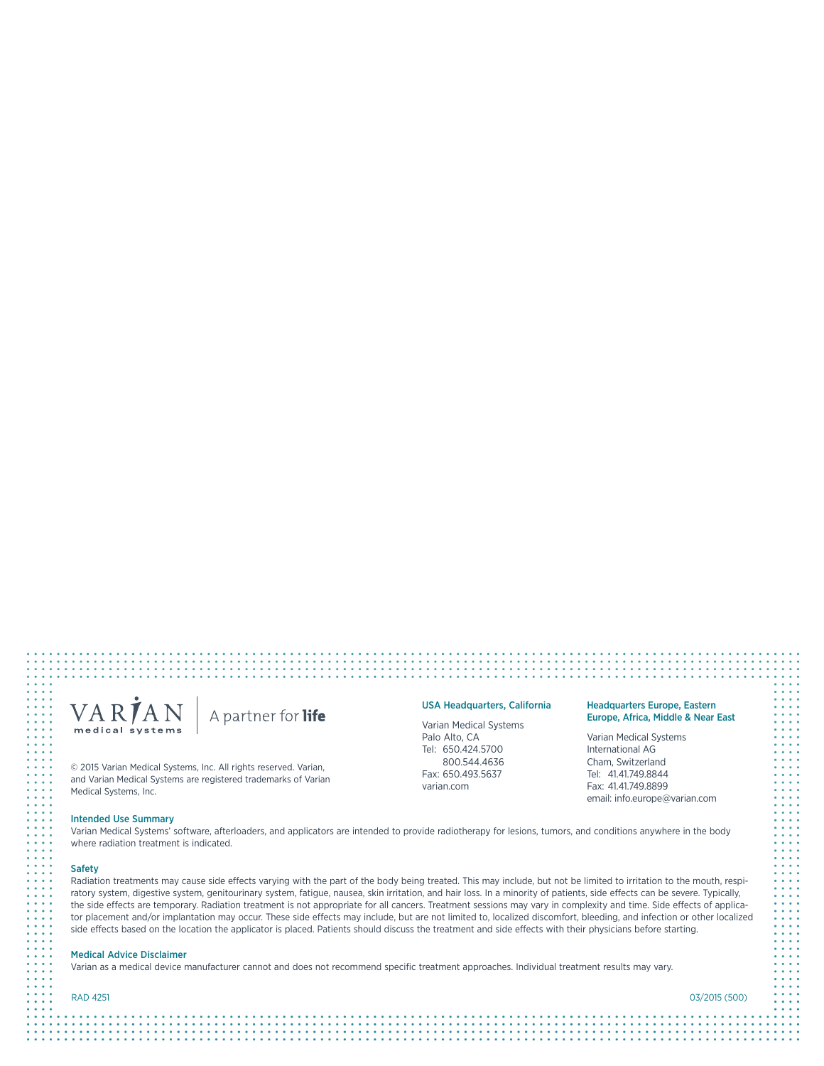## VARIAN A partner for life medical systems

© 2015 Varian Medical Systems, Inc. All rights reserved. Varian, and Varian Medical Systems are registered trademarks of Varian Medical Systems, Inc.

## Intended Use Summary

Varian Medical Systems' software, afterloaders, and applicators are intended to provide radiotherapy for lesions, tumors, and conditions anywhere in the body where radiation treatment is indicated.

### **Safety**

Radiation treatments may cause side effects varying with the part of the body being treated. This may include, but not be limited to irritation to the mouth, respiratory system, digestive system, genitourinary system, fatigue, nausea, skin irritation, and hair loss. In a minority of patients, side effects can be severe. Typically, the side effects are temporary. Radiation treatment is not appropriate for all cancers. Treatment sessions may vary in complexity and time. Side effects of applicator placement and/or implantation may occur. These side effects may include, but are not limited to, localized discomfort, bleeding, and infection or other localized side effects based on the location the applicator is placed. Patients should discuss the treatment and side effects with their physicians before starting.

## Medical Advice Disclaimer

Varian as a medical device manufacturer cannot and does not recommend specific treatment approaches. Individual treatment results may vary.

RAD 4251 03/2015 (500)

## USA Headquarters, California

Varian Medical Systems Palo Alto, CA Tel: 650.424.5700 800.544.4636 Fax: 650.493.5637 varian.com

Varian Medical Systems International AG Cham, Switzerland Tel: 41.41.749.8844 Fax: 41.41.749.8899 email: info.europe@varian.com

## Headquarters Europe, Eastern Europe, Africa, Middle & Near East